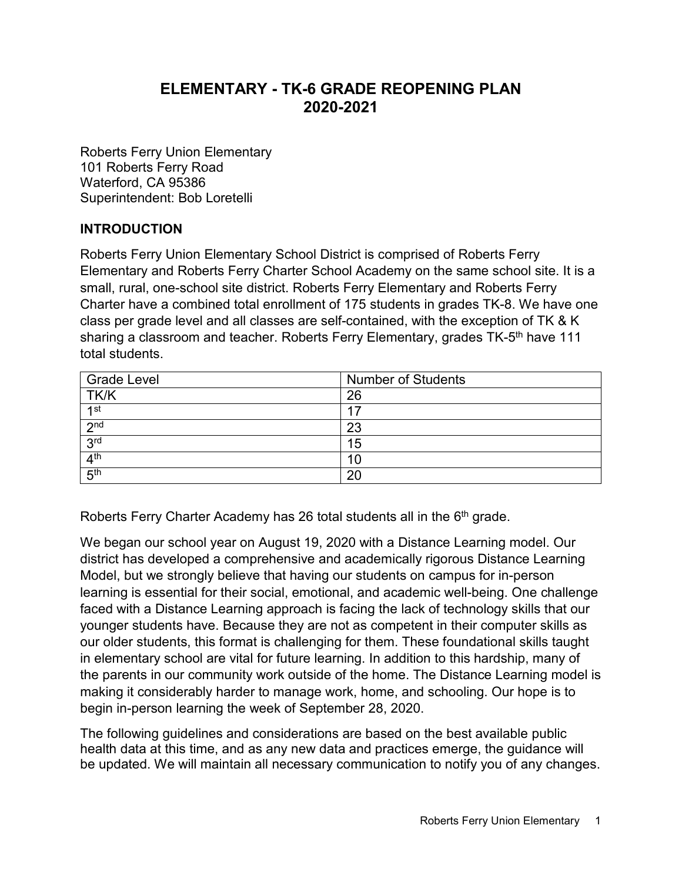# **ELEMENTARY - TK-6 GRADE REOPENING PLAN 2020-2021**

Roberts Ferry Union Elementary 101 Roberts Ferry Road Waterford, CA 95386 Superintendent: Bob Loretelli

#### **INTRODUCTION**

Roberts Ferry Union Elementary School District is comprised of Roberts Ferry Elementary and Roberts Ferry Charter School Academy on the same school site. It is a small, rural, one-school site district. Roberts Ferry Elementary and Roberts Ferry Charter have a combined total enrollment of 175 students in grades TK-8. We have one class per grade level and all classes are self-contained, with the exception of TK & K sharing a classroom and teacher. Roberts Ferry Elementary, grades TK-5<sup>th</sup> have 111 total students.

| <b>Grade Level</b> | <b>Number of Students</b> |
|--------------------|---------------------------|
| TK/K               | 26                        |
| 1st                |                           |
| 2 <sub>nd</sub>    | 23                        |
| 3 <sup>rd</sup>    | 15                        |
| 4 <sup>th</sup>    | 10                        |
| 5 <sup>th</sup>    | 20                        |

Roberts Ferry Charter Academy has 26 total students all in the 6<sup>th</sup> grade.

We began our school year on August 19, 2020 with a Distance Learning model. Our district has developed a comprehensive and academically rigorous Distance Learning Model, but we strongly believe that having our students on campus for in-person learning is essential for their social, emotional, and academic well-being. One challenge faced with a Distance Learning approach is facing the lack of technology skills that our younger students have. Because they are not as competent in their computer skills as our older students, this format is challenging for them. These foundational skills taught in elementary school are vital for future learning. In addition to this hardship, many of the parents in our community work outside of the home. The Distance Learning model is making it considerably harder to manage work, home, and schooling. Our hope is to begin in-person learning the week of September 28, 2020.

The following guidelines and considerations are based on the best available public health data at this time, and as any new data and practices emerge, the guidance will be updated. We will maintain all necessary communication to notify you of any changes.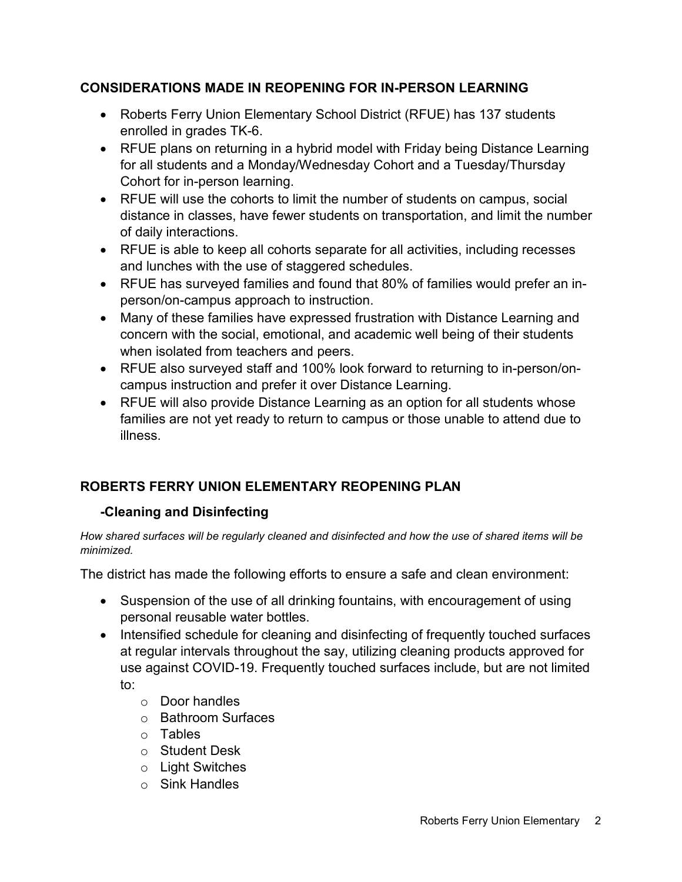### **CONSIDERATIONS MADE IN REOPENING FOR IN-PERSON LEARNING**

- Roberts Ferry Union Elementary School District (RFUE) has 137 students enrolled in grades TK-6.
- RFUE plans on returning in a hybrid model with Friday being Distance Learning for all students and a Monday/Wednesday Cohort and a Tuesday/Thursday Cohort for in-person learning.
- RFUE will use the cohorts to limit the number of students on campus, social distance in classes, have fewer students on transportation, and limit the number of daily interactions.
- RFUE is able to keep all cohorts separate for all activities, including recesses and lunches with the use of staggered schedules.
- RFUE has surveyed families and found that 80% of families would prefer an inperson/on-campus approach to instruction.
- Many of these families have expressed frustration with Distance Learning and concern with the social, emotional, and academic well being of their students when isolated from teachers and peers.
- RFUE also surveyed staff and 100% look forward to returning to in-person/oncampus instruction and prefer it over Distance Learning.
- RFUE will also provide Distance Learning as an option for all students whose families are not yet ready to return to campus or those unable to attend due to illness.

## **ROBERTS FERRY UNION ELEMENTARY REOPENING PLAN**

#### **-Cleaning and Disinfecting**

*How shared surfaces will be regularly cleaned and disinfected and how the use of shared items will be minimized.* 

The district has made the following efforts to ensure a safe and clean environment:

- Suspension of the use of all drinking fountains, with encouragement of using personal reusable water bottles.
- Intensified schedule for cleaning and disinfecting of frequently touched surfaces at regular intervals throughout the say, utilizing cleaning products approved for use against COVID-19. Frequently touched surfaces include, but are not limited to:
	- o Door handles
	- o Bathroom Surfaces
	- o Tables
	- o Student Desk
	- o Light Switches
	- o Sink Handles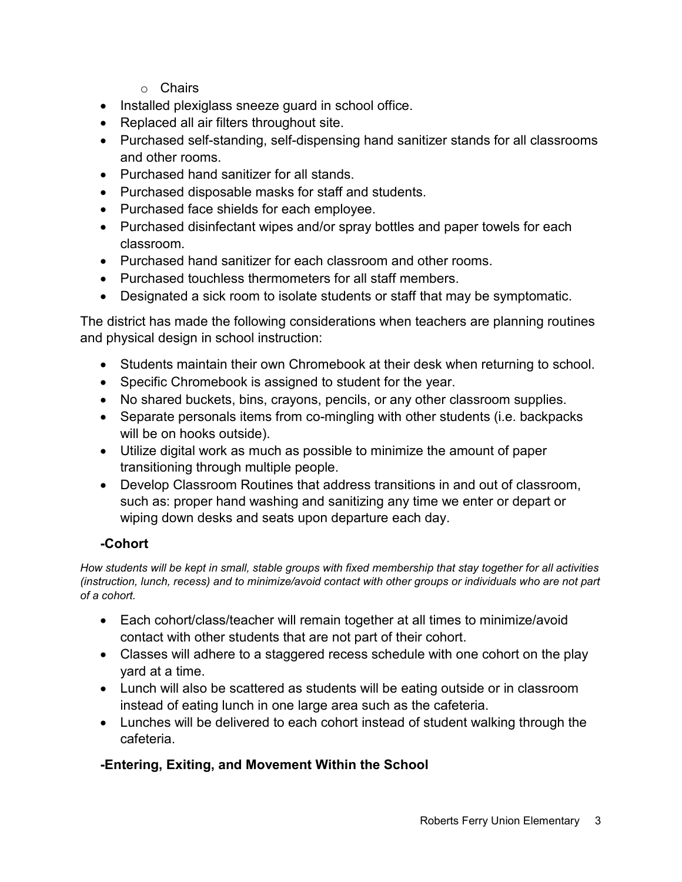- o Chairs
- Installed plexiglass sneeze guard in school office.
- Replaced all air filters throughout site.
- Purchased self-standing, self-dispensing hand sanitizer stands for all classrooms and other rooms.
- Purchased hand sanitizer for all stands.
- Purchased disposable masks for staff and students.
- Purchased face shields for each employee.
- Purchased disinfectant wipes and/or spray bottles and paper towels for each classroom.
- Purchased hand sanitizer for each classroom and other rooms.
- Purchased touchless thermometers for all staff members.
- Designated a sick room to isolate students or staff that may be symptomatic.

The district has made the following considerations when teachers are planning routines and physical design in school instruction:

- Students maintain their own Chromebook at their desk when returning to school.
- Specific Chromebook is assigned to student for the year.
- No shared buckets, bins, crayons, pencils, or any other classroom supplies.
- Separate personals items from co-mingling with other students (i.e. backpacks will be on hooks outside).
- Utilize digital work as much as possible to minimize the amount of paper transitioning through multiple people.
- Develop Classroom Routines that address transitions in and out of classroom, such as: proper hand washing and sanitizing any time we enter or depart or wiping down desks and seats upon departure each day.

## **-Cohort**

*How students will be kept in small, stable groups with fixed membership that stay together for all activities (instruction, lunch, recess) and to minimize/avoid contact with other groups or individuals who are not part of a cohort.*

- Each cohort/class/teacher will remain together at all times to minimize/avoid contact with other students that are not part of their cohort.
- Classes will adhere to a staggered recess schedule with one cohort on the play yard at a time.
- Lunch will also be scattered as students will be eating outside or in classroom instead of eating lunch in one large area such as the cafeteria.
- Lunches will be delivered to each cohort instead of student walking through the cafeteria.

## **-Entering, Exiting, and Movement Within the School**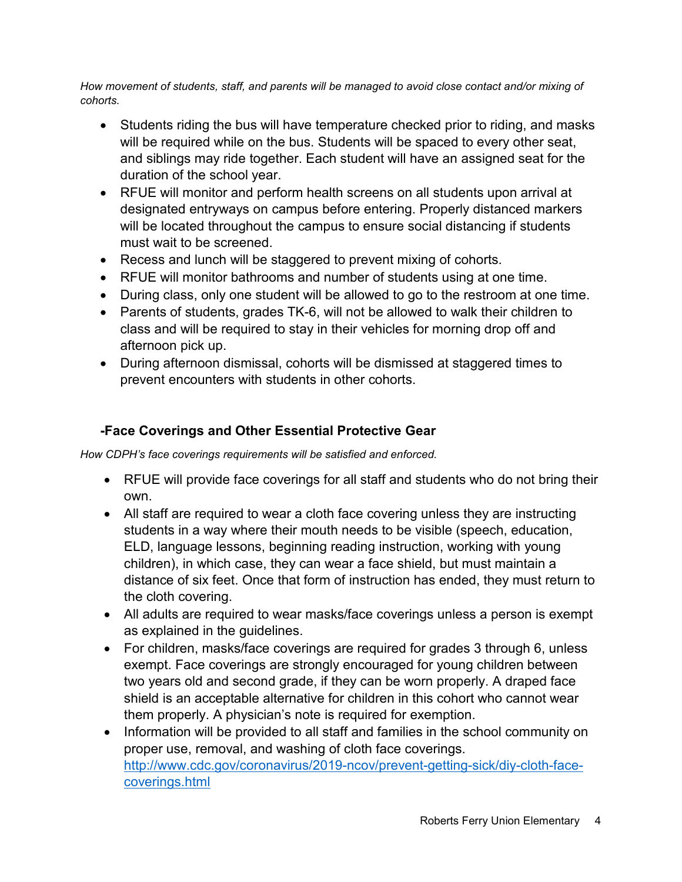*How movement of students, staff, and parents will be managed to avoid close contact and/or mixing of cohorts.*

- Students riding the bus will have temperature checked prior to riding, and masks will be required while on the bus. Students will be spaced to every other seat, and siblings may ride together. Each student will have an assigned seat for the duration of the school year.
- RFUE will monitor and perform health screens on all students upon arrival at designated entryways on campus before entering. Properly distanced markers will be located throughout the campus to ensure social distancing if students must wait to be screened.
- Recess and lunch will be staggered to prevent mixing of cohorts.
- RFUE will monitor bathrooms and number of students using at one time.
- During class, only one student will be allowed to go to the restroom at one time.
- Parents of students, grades TK-6, will not be allowed to walk their children to class and will be required to stay in their vehicles for morning drop off and afternoon pick up.
- During afternoon dismissal, cohorts will be dismissed at staggered times to prevent encounters with students in other cohorts.

## **-Face Coverings and Other Essential Protective Gear**

*How CDPH's face coverings requirements will be satisfied and enforced.*

- RFUE will provide face coverings for all staff and students who do not bring their own.
- All staff are required to wear a cloth face covering unless they are instructing students in a way where their mouth needs to be visible (speech, education, ELD, language lessons, beginning reading instruction, working with young children), in which case, they can wear a face shield, but must maintain a distance of six feet. Once that form of instruction has ended, they must return to the cloth covering.
- All adults are required to wear masks/face coverings unless a person is exempt as explained in the guidelines.
- For children, masks/face coverings are required for grades 3 through 6, unless exempt. Face coverings are strongly encouraged for young children between two years old and second grade, if they can be worn properly. A draped face shield is an acceptable alternative for children in this cohort who cannot wear them properly. A physician's note is required for exemption.
- Information will be provided to all staff and families in the school community on proper use, removal, and washing of cloth face coverings. [http://www.cdc.gov/coronavirus/2019-ncov/prevent-getting-sick/diy-cloth-face](http://www.cdc.gov/coronavirus/2019-ncov/prevent-getting-sick/diy-cloth-face-coverings.html)[coverings.html](http://www.cdc.gov/coronavirus/2019-ncov/prevent-getting-sick/diy-cloth-face-coverings.html)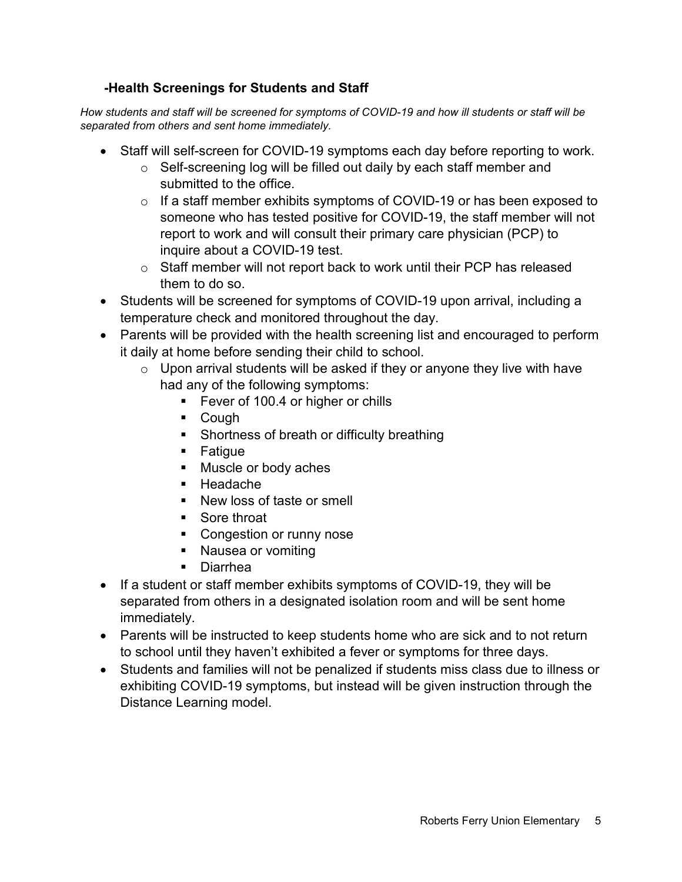### **-Health Screenings for Students and Staff**

*How students and staff will be screened for symptoms of COVID-19 and how ill students or staff will be separated from others and sent home immediately.* 

- Staff will self-screen for COVID-19 symptoms each day before reporting to work.
	- o Self-screening log will be filled out daily by each staff member and submitted to the office.
	- o If a staff member exhibits symptoms of COVID-19 or has been exposed to someone who has tested positive for COVID-19, the staff member will not report to work and will consult their primary care physician (PCP) to inquire about a COVID-19 test.
	- o Staff member will not report back to work until their PCP has released them to do so.
- Students will be screened for symptoms of COVID-19 upon arrival, including a temperature check and monitored throughout the day.
- Parents will be provided with the health screening list and encouraged to perform it daily at home before sending their child to school.
	- $\circ$  Upon arrival students will be asked if they or anyone they live with have had any of the following symptoms:
		- **Fever of 100.4 or higher or chills**
		- Cough
		- **Shortness of breath or difficulty breathing**
		- **Fatigue**
		- **Muscle or body aches**
		- Headache
		- New loss of taste or smell
		- Sore throat
		- **Congestion or runny nose**
		- Nausea or vomiting
		- Diarrhea
- If a student or staff member exhibits symptoms of COVID-19, they will be separated from others in a designated isolation room and will be sent home immediately.
- Parents will be instructed to keep students home who are sick and to not return to school until they haven't exhibited a fever or symptoms for three days.
- Students and families will not be penalized if students miss class due to illness or exhibiting COVID-19 symptoms, but instead will be given instruction through the Distance Learning model.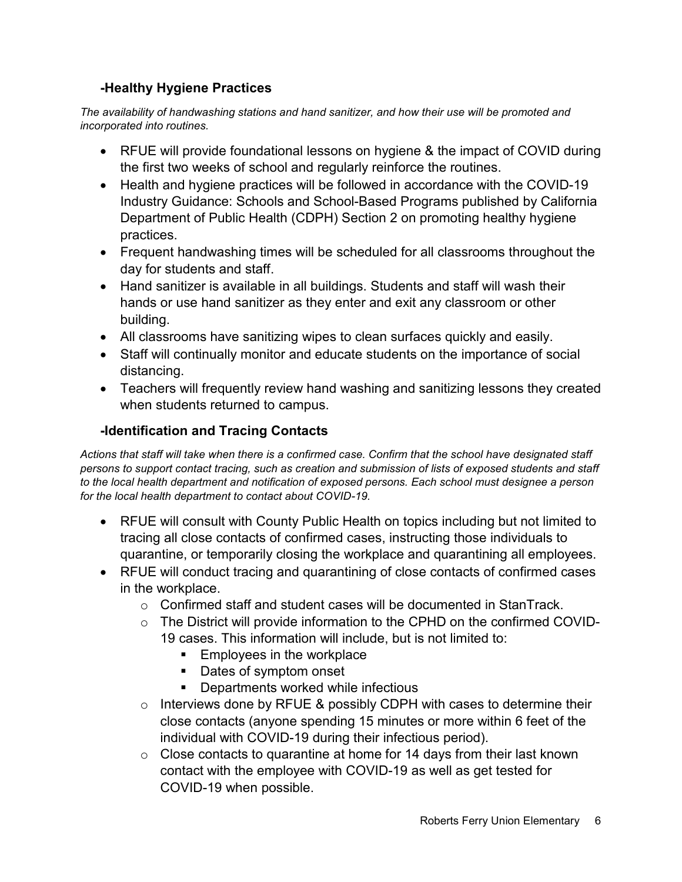### **-Healthy Hygiene Practices**

*The availability of handwashing stations and hand sanitizer, and how their use will be promoted and incorporated into routines.* 

- RFUE will provide foundational lessons on hygiene & the impact of COVID during the first two weeks of school and regularly reinforce the routines.
- Health and hygiene practices will be followed in accordance with the COVID-19 Industry Guidance: Schools and School-Based Programs published by California Department of Public Health (CDPH) Section 2 on promoting healthy hygiene practices.
- Frequent handwashing times will be scheduled for all classrooms throughout the day for students and staff.
- Hand sanitizer is available in all buildings. Students and staff will wash their hands or use hand sanitizer as they enter and exit any classroom or other building.
- All classrooms have sanitizing wipes to clean surfaces quickly and easily.
- Staff will continually monitor and educate students on the importance of social distancing.
- Teachers will frequently review hand washing and sanitizing lessons they created when students returned to campus.

## **-Identification and Tracing Contacts**

*Actions that staff will take when there is a confirmed case. Confirm that the school have designated staff persons to support contact tracing, such as creation and submission of lists of exposed students and staff to the local health department and notification of exposed persons. Each school must designee a person for the local health department to contact about COVID-19.*

- RFUE will consult with County Public Health on topics including but not limited to tracing all close contacts of confirmed cases, instructing those individuals to quarantine, or temporarily closing the workplace and quarantining all employees.
- RFUE will conduct tracing and quarantining of close contacts of confirmed cases in the workplace.
	- $\circ$  Confirmed staff and student cases will be documented in StanTrack.
	- o The District will provide information to the CPHD on the confirmed COVID-19 cases. This information will include, but is not limited to:
		- **Employees in the workplace**
		- Dates of symptom onset
		- Departments worked while infectious
	- $\circ$  Interviews done by RFUE & possibly CDPH with cases to determine their close contacts (anyone spending 15 minutes or more within 6 feet of the individual with COVID-19 during their infectious period).
	- $\circ$  Close contacts to quarantine at home for 14 days from their last known contact with the employee with COVID-19 as well as get tested for COVID-19 when possible.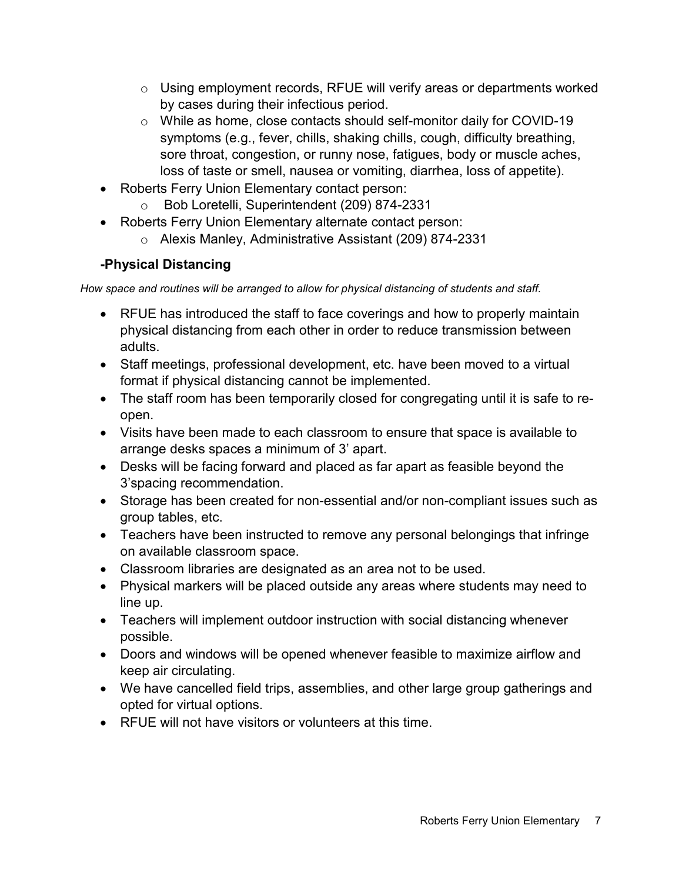- $\circ$  Using employment records, RFUE will verify areas or departments worked by cases during their infectious period.
- o While as home, close contacts should self-monitor daily for COVID-19 symptoms (e.g., fever, chills, shaking chills, cough, difficulty breathing, sore throat, congestion, or runny nose, fatigues, body or muscle aches, loss of taste or smell, nausea or vomiting, diarrhea, loss of appetite).
- Roberts Ferry Union Elementary contact person:
	- o Bob Loretelli, Superintendent (209) 874-2331
- Roberts Ferry Union Elementary alternate contact person:
	- o Alexis Manley, Administrative Assistant (209) 874-2331

# **-Physical Distancing**

*How space and routines will be arranged to allow for physical distancing of students and staff.*

- RFUE has introduced the staff to face coverings and how to properly maintain physical distancing from each other in order to reduce transmission between adults.
- Staff meetings, professional development, etc. have been moved to a virtual format if physical distancing cannot be implemented.
- The staff room has been temporarily closed for congregating until it is safe to reopen.
- Visits have been made to each classroom to ensure that space is available to arrange desks spaces a minimum of 3' apart.
- Desks will be facing forward and placed as far apart as feasible beyond the 3'spacing recommendation.
- Storage has been created for non-essential and/or non-compliant issues such as group tables, etc.
- Teachers have been instructed to remove any personal belongings that infringe on available classroom space.
- Classroom libraries are designated as an area not to be used.
- Physical markers will be placed outside any areas where students may need to line up.
- Teachers will implement outdoor instruction with social distancing whenever possible.
- Doors and windows will be opened whenever feasible to maximize airflow and keep air circulating.
- We have cancelled field trips, assemblies, and other large group gatherings and opted for virtual options.
- RFUE will not have visitors or volunteers at this time.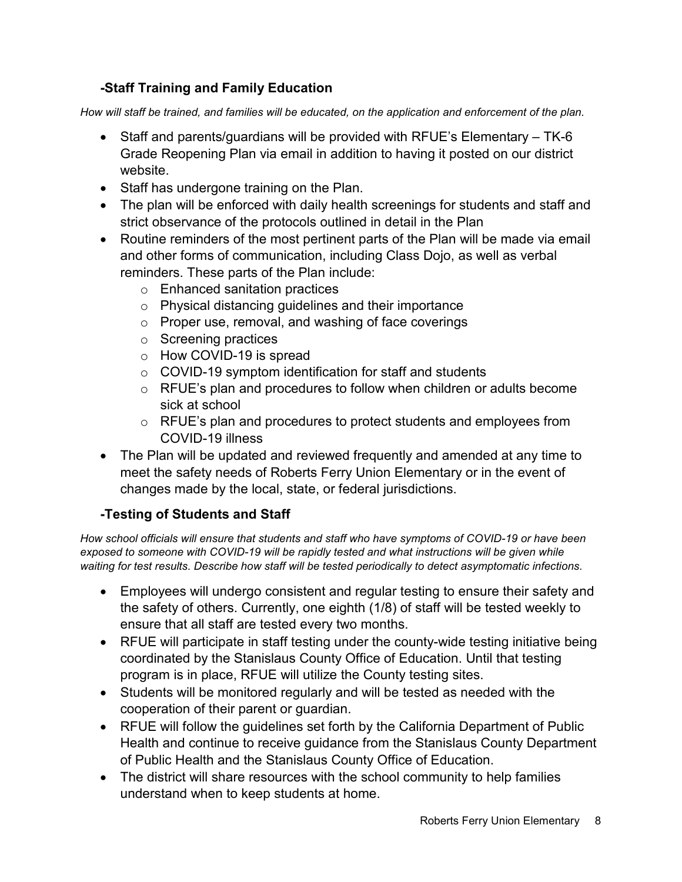## **-Staff Training and Family Education**

*How will staff be trained, and families will be educated, on the application and enforcement of the plan.*

- Staff and parents/guardians will be provided with RFUE's Elementary TK-6 Grade Reopening Plan via email in addition to having it posted on our district website.
- Staff has undergone training on the Plan.
- The plan will be enforced with daily health screenings for students and staff and strict observance of the protocols outlined in detail in the Plan
- Routine reminders of the most pertinent parts of the Plan will be made via email and other forms of communication, including Class Dojo, as well as verbal reminders. These parts of the Plan include:
	- o Enhanced sanitation practices
	- o Physical distancing guidelines and their importance
	- o Proper use, removal, and washing of face coverings
	- o Screening practices
	- o How COVID-19 is spread
	- $\circ$  COVID-19 symptom identification for staff and students
	- $\circ$  RFUE's plan and procedures to follow when children or adults become sick at school
	- o RFUE's plan and procedures to protect students and employees from COVID-19 illness
- The Plan will be updated and reviewed frequently and amended at any time to meet the safety needs of Roberts Ferry Union Elementary or in the event of changes made by the local, state, or federal jurisdictions.

## **-Testing of Students and Staff**

*How school officials will ensure that students and staff who have symptoms of COVID-19 or have been exposed to someone with COVID-19 will be rapidly tested and what instructions will be given while waiting for test results. Describe how staff will be tested periodically to detect asymptomatic infections.*

- Employees will undergo consistent and regular testing to ensure their safety and the safety of others. Currently, one eighth (1/8) of staff will be tested weekly to ensure that all staff are tested every two months.
- RFUE will participate in staff testing under the county-wide testing initiative being coordinated by the Stanislaus County Office of Education. Until that testing program is in place, RFUE will utilize the County testing sites.
- Students will be monitored regularly and will be tested as needed with the cooperation of their parent or guardian.
- RFUE will follow the guidelines set forth by the California Department of Public Health and continue to receive guidance from the Stanislaus County Department of Public Health and the Stanislaus County Office of Education.
- The district will share resources with the school community to help families understand when to keep students at home.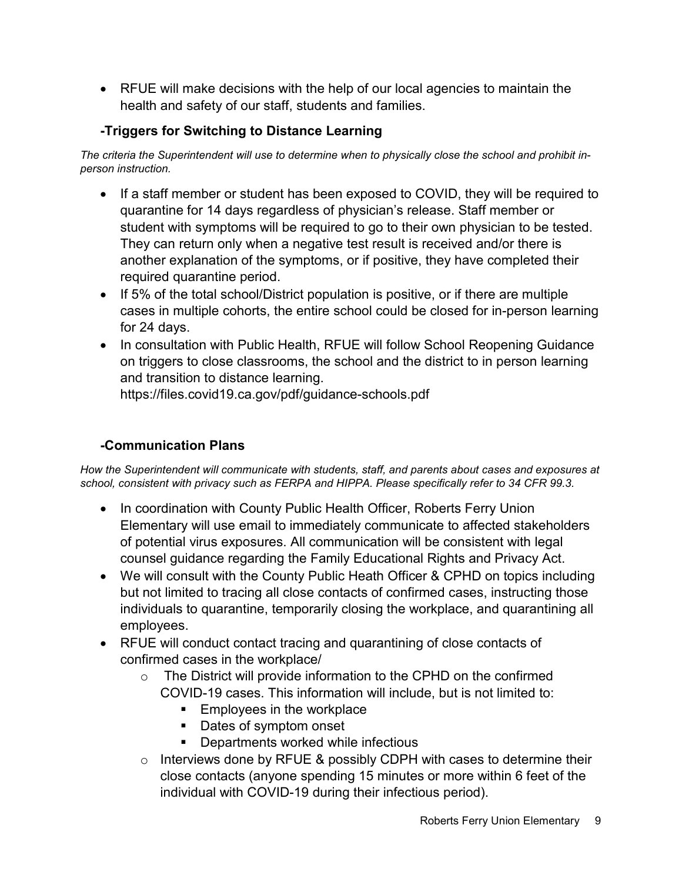• RFUE will make decisions with the help of our local agencies to maintain the health and safety of our staff, students and families.

# **-Triggers for Switching to Distance Learning**

*The criteria the Superintendent will use to determine when to physically close the school and prohibit inperson instruction.*

- If a staff member or student has been exposed to COVID, they will be required to quarantine for 14 days regardless of physician's release. Staff member or student with symptoms will be required to go to their own physician to be tested. They can return only when a negative test result is received and/or there is another explanation of the symptoms, or if positive, they have completed their required quarantine period.
- If 5% of the total school/District population is positive, or if there are multiple cases in multiple cohorts, the entire school could be closed for in-person learning for 24 days.
- In consultation with Public Health, RFUE will follow School Reopening Guidance on triggers to close classrooms, the school and the district to in person learning and transition to distance learning.

https://files.covid19.ca.gov/pdf/guidance-schools.pdf

# **-Communication Plans**

*How the Superintendent will communicate with students, staff, and parents about cases and exposures at school, consistent with privacy such as FERPA and HIPPA. Please specifically refer to 34 CFR 99.3.* 

- In coordination with County Public Health Officer, Roberts Ferry Union Elementary will use email to immediately communicate to affected stakeholders of potential virus exposures. All communication will be consistent with legal counsel guidance regarding the Family Educational Rights and Privacy Act.
- We will consult with the County Public Heath Officer & CPHD on topics including but not limited to tracing all close contacts of confirmed cases, instructing those individuals to quarantine, temporarily closing the workplace, and quarantining all employees.
- RFUE will conduct contact tracing and quarantining of close contacts of confirmed cases in the workplace/
	- o The District will provide information to the CPHD on the confirmed COVID-19 cases. This information will include, but is not limited to:
		- **Employees in the workplace**
		- Dates of symptom onset
		- Departments worked while infectious
	- $\circ$  Interviews done by RFUE & possibly CDPH with cases to determine their close contacts (anyone spending 15 minutes or more within 6 feet of the individual with COVID-19 during their infectious period).